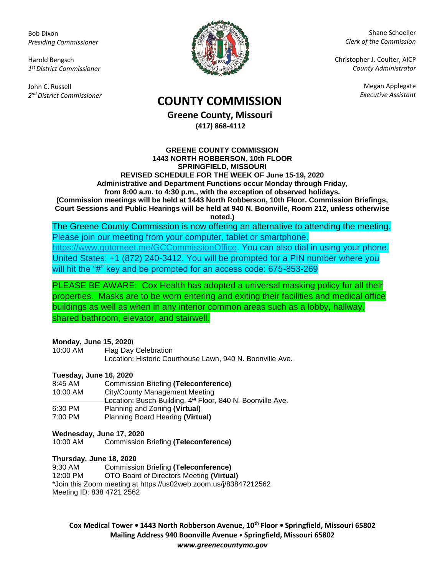Bob Dixon *Presiding Commissioner*

Harold Bengsch *1 st District Commissioner*

John C. Russell *2 nd District Commissioner*



Shane Schoeller *Clerk of the Commission*

Christopher J. Coulter, AICP *County Administrator*

Megan Applegate

# *Executive Assistant* **COUNTY COMMISSION**

**Greene County, Missouri (417) 868-4112**

**GREENE COUNTY COMMISSION 1443 NORTH ROBBERSON, 10th FLOOR SPRINGFIELD, MISSOURI REVISED SCHEDULE FOR THE WEEK OF June 15-19, 2020 Administrative and Department Functions occur Monday through Friday, from 8:00 a.m. to 4:30 p.m., with the exception of observed holidays. (Commission meetings will be held at 1443 North Robberson, 10th Floor. Commission Briefings, Court Sessions and Public Hearings will be held at 940 N. Boonville, Room 212, unless otherwise noted.)**

The Greene County Commission is now offering an alternative to attending the meeting. Please join our meeting from your computer, tablet or smartphone. [https://www.gotomeet.me/GCCommissionOffice.](https://www.gotomeet.me/GCCommissionOffice) You can also dial in using your phone. United States: +1 (872) 240-3412. You will be prompted for a PIN number where you will hit the "#" key and be prompted for an access code: 675-853-269

PLEASE BE AWARE: Cox Health has adopted a universal masking policy for all their properties. Masks are to be worn entering and exiting their facilities and medical office buildings as well as when in any interior common areas such as a lobby, hallway, shared bathroom, elevator, and stairwell.

#### **Monday, June 15, 2020\**

| 10:00 AM | Flag Day Celebration                                      |
|----------|-----------------------------------------------------------|
|          |                                                           |
|          |                                                           |
|          | Location: Historic Courthouse Lawn, 940 N. Boonville Ave. |
|          |                                                           |

### **Tuesday, June 16, 2020**

| $8:45$ AM | <b>Commission Briefing (Teleconference)</b>                            |
|-----------|------------------------------------------------------------------------|
| 10:00 AM  | <b>City/County Management Meeting</b>                                  |
|           | Location: Busch Building, 4 <sup>th</sup> Floor, 840 N. Boonville Ave. |
| 6:30 PM   | Planning and Zoning (Virtual)                                          |
| 7:00 PM   | Planning Board Hearing (Virtual)                                       |

#### **Wednesday, June 17, 2020**

10:00 AM Commission Briefing **(Teleconference)**

#### **Thursday, June 18, 2020**

9:30 AM Commission Briefing **(Teleconference)**

12:00 PM OTO Board of Directors Meeting **(Virtual)**

\*Join this Zoom meeting at https://us02web.zoom.us/j/83847212562

Meeting ID: 838 4721 2562

**Cox Medical Tower • 1443 North Robberson Avenue, 10th Floor • Springfield, Missouri 65802 Mailing Address 940 Boonville Avenue • Springfield, Missouri 65802** *www.greenecountymo.gov*